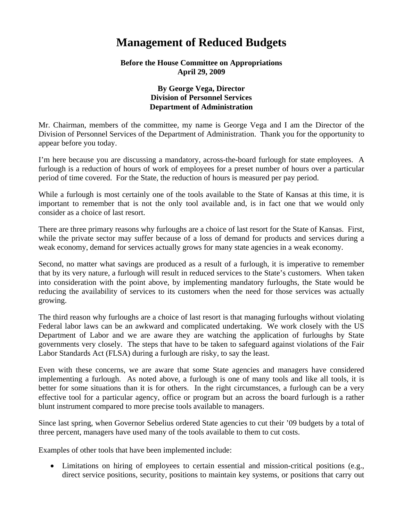## **Management of Reduced Budgets**

## **Before the House Committee on Appropriations April 29, 2009**

## **By George Vega, Director Division of Personnel Services Department of Administration**

Mr. Chairman, members of the committee, my name is George Vega and I am the Director of the Division of Personnel Services of the Department of Administration. Thank you for the opportunity to appear before you today.

I'm here because you are discussing a mandatory, across-the-board furlough for state employees. A furlough is a reduction of hours of work of employees for a preset number of hours over a particular period of time covered. For the State, the reduction of hours is measured per pay period.

While a furlough is most certainly one of the tools available to the State of Kansas at this time, it is important to remember that is not the only tool available and, is in fact one that we would only consider as a choice of last resort.

There are three primary reasons why furloughs are a choice of last resort for the State of Kansas. First, while the private sector may suffer because of a loss of demand for products and services during a weak economy, demand for services actually grows for many state agencies in a weak economy.

Second, no matter what savings are produced as a result of a furlough, it is imperative to remember that by its very nature, a furlough will result in reduced services to the State's customers. When taken into consideration with the point above, by implementing mandatory furloughs, the State would be reducing the availability of services to its customers when the need for those services was actually growing.

The third reason why furloughs are a choice of last resort is that managing furloughs without violating Federal labor laws can be an awkward and complicated undertaking. We work closely with the US Department of Labor and we are aware they are watching the application of furloughs by State governments very closely. The steps that have to be taken to safeguard against violations of the Fair Labor Standards Act (FLSA) during a furlough are risky, to say the least.

Even with these concerns, we are aware that some State agencies and managers have considered implementing a furlough. As noted above, a furlough is one of many tools and like all tools, it is better for some situations than it is for others. In the right circumstances, a furlough can be a very effective tool for a particular agency, office or program but an across the board furlough is a rather blunt instrument compared to more precise tools available to managers.

Since last spring, when Governor Sebelius ordered State agencies to cut their '09 budgets by a total of three percent, managers have used many of the tools available to them to cut costs.

Examples of other tools that have been implemented include:

• Limitations on hiring of employees to certain essential and mission-critical positions (e.g., direct service positions, security, positions to maintain key systems, or positions that carry out